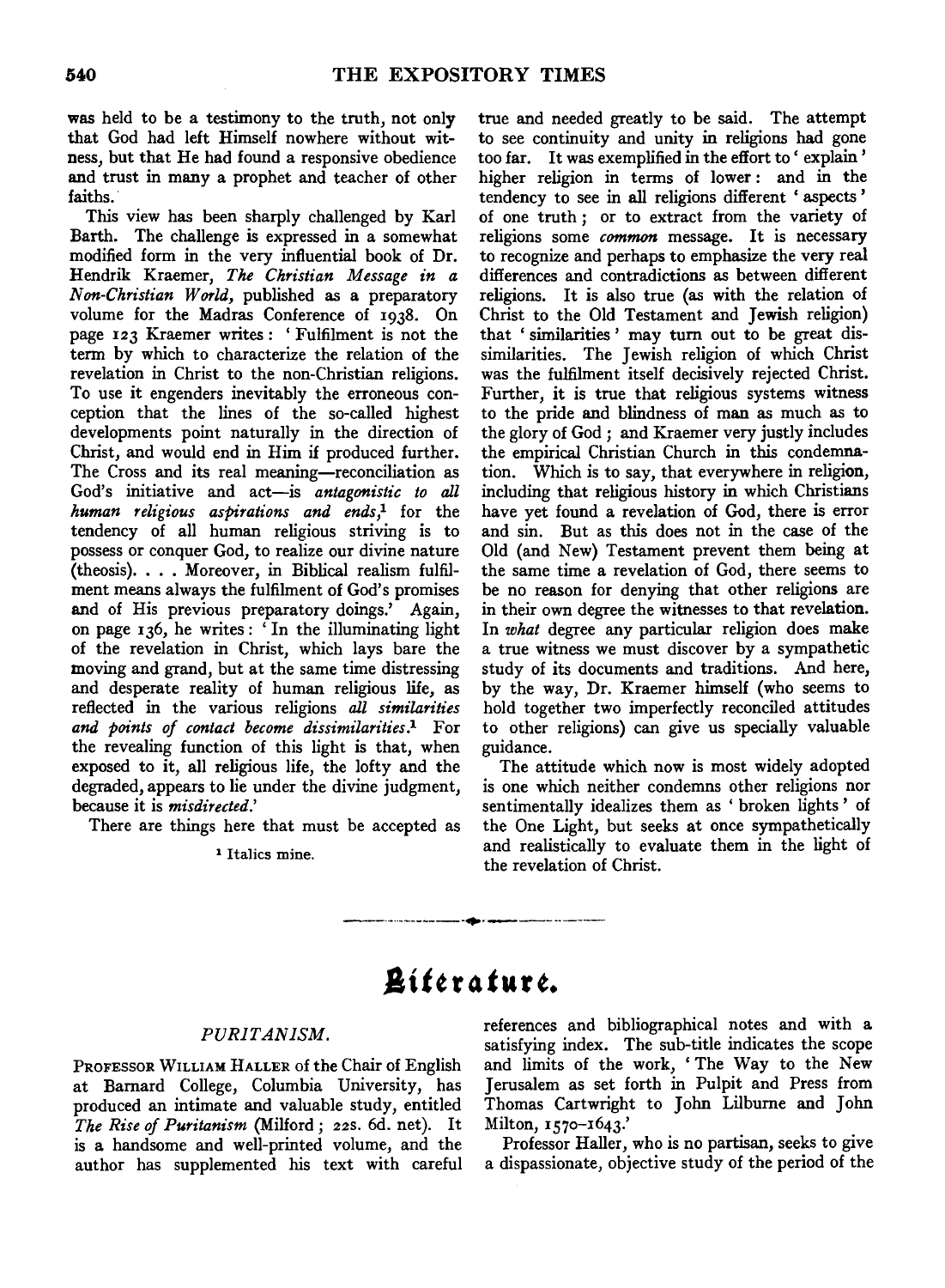was held to be a testimony to the truth, not only that God had left Himself nowhere without witness, but that He had found a responsive obedience and trust in many a prophet and teacher of other faiths.

This view has been sharply challenged by Karl Barth. The challenge is expressed in a somewhat modified form in the very influential book of Dr. Hendrik Kraemer, *The Christian Message in a N on-Christian World,* published as a preparatory volume for the Madras Conference of 1938. On page 123 Kraemer writes : ' Fulfilment is not the term by which to characterize the relation of the revelation in Christ to the non-Christian religions. To use it engenders inevitably the erroneous conception that the lines of the so-called highest developments point naturally in the direction of Christ, and would end in Him if produced further. The Cross and its real meaning-reconciliation as God's initiative and act-is *antagonistic to all human religious aspirations and ends* ,1 for the tendency of all human religious striving is to possess or conquer God, to realize our divine nature (theosis) .... Moreover, in Biblical realism fulfilment means always the fulfilment of God's promises and of His previous preparatory doings.' Again, on page 136, he writes : ' In the illuminating light of the revelation in Christ, which lays bare the moving and grand, but at the same time distressing and desperate reality of human religious life, as reflected in the various religions *all similarities and points of contact become dissimilarities.1* For the revealing function of this light is that, when exposed to it, all religious life, the lofty and the degraded, appears to lie under the divine judgment, because it is *misdirected.'* 

There are things here that must be accepted as

#### 1 Italics mine.

true and needed greatly to be said. The attempt to see continuity and unity in religions had gone too far. It was exemplified in the effort to' explain' higher religion in terms of lower: and in the tendency to see in all religions different ' aspects ' of one truth ; or to extract from the variety of religions some *common* message. It is necessary to recognize and perhaps to emphasize the very real differences and contradictions as between different religions. It is also true (as with the relation of Christ to the Old Testament and Jewish religion) that 'similarities' may turn out to be great dissimilarities. The Jewish religion of which Christ was the fulfilment itself decisively rejected Christ. Further, it is true that religious systems witness to the pride and blindness of man as much as to the glory of God ; and Kraemer very justly includes the empirical Christian Church in this condemnation. Which is to say, that everywhere in religion, including that religious history in which Christians have yet found a revelation of God, there is error and sin. But as this does not in the case of the Old (and New) Testament prevent them being at the same time a revelation of God, there seems to be no reason for denying that other religions are in their own degree the witnesses to that revelation. In *what* degree any particular religion does make a true witness we must discover by a sympathetic study of its documents and traditions. And here, by the way, Dr. Kraemer himself (who seems to hold together two imperfectly reconciled attitudes to other religions) can give us specially valuable guidance.

The attitude which now is most widely adopted is one which neither condemns other religions nor sentimentally idealizes them as ' broken lights ' of the One Light, but seeks at once sympathetically and realistically to evaluate them in the light of the revelation of Christ.

# *.&itt* **r** ~tu **r** *t.*

-------------·•·-----------

### *PURITANISM.*

PROFESSOR WILLIAM HALLER of the Chair of English at Bamard College, Columbia University, has produced an intimate and valuable study, entitled *The Rise of Puritanism* (Milford; 22s. 6d. net). It is a handsome and well-printed volume, and the author has supplemented his text with careful references and bibliographical notes and with a satisfying index. The sub-title indicates the scope and limits of the work, 'The Way to the New Jerusalem as set forth in Pulpit and Press from Thomas Cartwright to John Lilbume and John Milton, 1570-1643.'

Professor Hailer, who is no partisan, seeks to give a dispassionate, objective study of the period of the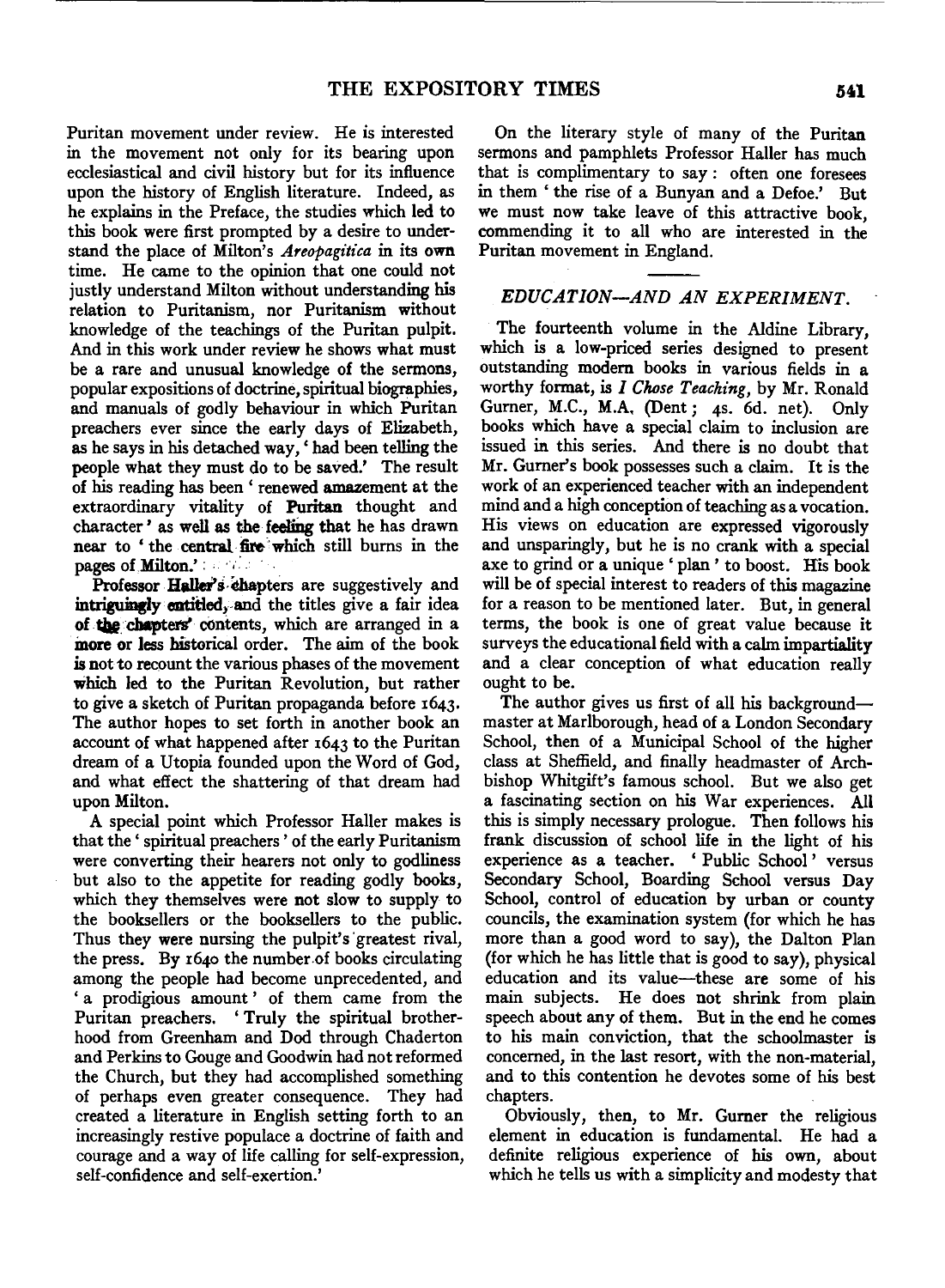Puritan movement under review. He is interested in the movement not only for its bearing upon ecclesiastical and civil history but for its influence upon the history of English literature. Indeed, as he explains in the Preface, the studies which led to this book were first prompted by a desire to understand the place of Milton's *Areopagitica* in its own time. He came to the opinion that one could not justly understand Milton without understanding his relation to Puritanism, nor Puritanism without knowledge of the teachings of the Puritan pulpit. And in this work under review he shows what must be a rare and unusual knowledge of the sermons, popular expositions of doctrine, spiritual biographies, and manuals of godly behaviour in which Puritan preachers ever since the early days of Elizabeth, as he says in his detached way,' had been telling the people what they must do to be saved.' The result of his reading has been ' renewed amazement at the extraordinary vitality of Puritan thought and character' as well as the feeling that he has drawn near to 'the central fire which still burns in the pages of Milton.' : • • • •

Professor Haller's chapters are suggestively and intriguingly cntitled, and the titles give a fair idea of the chapters' contents, which are arranged in a more or less historical order. The aim of the book is not to recount the various phases of the movement which led to the Puritan Revolution, but rather to give a sketch of Puritan propaganda before 1643. The author hopes to set forth in another book an account of what happened after 1643 to the Puritan dream of a Utopia founded upon the Word of God, and what effect the shattering of that dream had upon Milton.

A special point which Professor Hailer makes is that the ' spiritual preachers ' of the early Puritanism were converting their hearers not only to godliness but also to the appetite for reading godly books, which they themselves were not slow to supply to the booksellers or the booksellers to the public. Thus they were nursing the pulpit's 'greatest rival, the press. By 1640 the number.of books circulating among the people had become unprecedented, and ' a prodigious amount' of them came from the Puritan preachers. ' Truly the spiritual brotherhood from Greenham and Dod through Chaderton and Perkins to Gouge and Goodwin had not reformed the Church, but they had accomplished something of perhaps even greater consequence. They had created a literature in English setting forth to an increasingly restive populace a doctrine of faith and courage and a way of life calling for self-expression, self-confidence and self-exertion.'

On the literary style of many of the Puritan sermons and pamphlets Professor Hailer has much that is complimentary to say: often one foresees in them 'the rise of a Bunyan and a Defoe.' But we must now take leave of this attractive book, commending it to all who are interested in the Puritan movement in England.

## EDUCATION-AND AN EXPERIMENT.

The fourteenth volume in the Aldine Library, which is a low-priced series designed to present outstanding modem books in various fields in a worthy format, is *I Chose Teaching,* by Mr. Ronald Gumer, M.C., M.A. (Dent; 4s. 6d. net). Only books which have a special claim to inclusion are issued in this series. And there is no doubt that Mr. Gumer's book possesses such a claim. It is the work of an experienced teacher with an independent mind and a high conception of teaching as a vocation. His views on education are expressed vigorously and unsparingly, but he is no crank with a special axe to grind or a unique ' plan ' to boost. His book will be of special interest to readers of this magazine for a reason to be mentioned later. But, in general terms, the book is one of great value because it surveys the educational field with a calm impartiality and a clear conception of what education really ought to be.

The author gives us first of all his backgroundmaster at Marlborough, head of a London Secondary School, then of a Municipal School of the higher class at Sheffield, and finally headmaster of Archbishop Whitgift's famous school. But we also get a fascinating section on his War experiences. All this is simply necessary prologue. Then follows his frank discussion of school life in the light of his experience as a teacher. 'Public School' versus Secondary School, Boarding School versus Day School, control of education by urban or county councils, the examination system (for which he has more than a good word to say), the Dalton Plan (for which he has little that is good to say), physical education and its value-these are some of his main subjects. He does not shrink from plain speech about any of them. But in the end he comes to his main conviction, that the schoolmaster is concerned, in the last resort, with the non-material, and to this contention he devotes some of his best chapters.

Obviously, then, to Mr. Gumer the religious element in education is fundamental. He had a definite religious experience of his own, about which he tells us with a simplicity and modesty that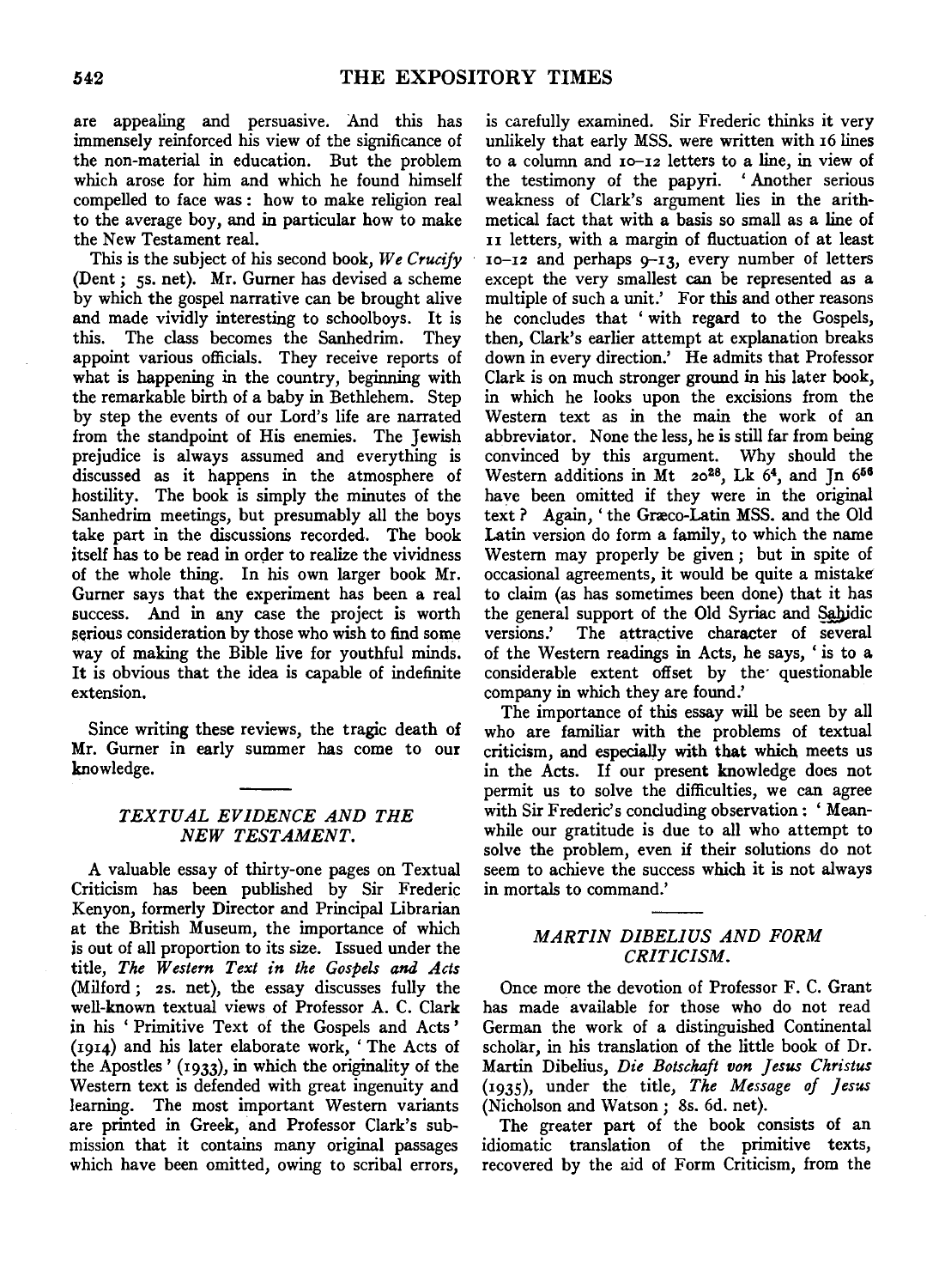are appealing and persuasive. And this has immensely reinforced his view of the significance of the non-material in education. But the problem which arose for him and which he found himself compelled to face was : how to make religion real to the average boy, and in particular how to make the New Testament real.

This is the subject of his second book, *We Crucify*  (Dent; 5s. net). Mr. Gurner has devised a scheme by which the gospel narrative can be brought alive and made vividly interesting to schoolboys. It is this. The class becomes the Sanhedrim. They appoint various officials. They receive reports of what is happening in the country, beginning with the remarkable birth of a baby in Bethlehem. Step by step the events of our Lord's life are narrated from the standpoint of His enemies. The Jewish prejudice is always assumed and everything is discussed as it happens in the atmosphere of hostility. The book is simply the minutes of the Sanhedrim meetings, but presumably all the boys take part in the discussions recorded. The book itself has to be read in order to realize the vividness of the whole thing. In his own larger book Mr. Gurner says that the experiment has been a real success. And in any case the project is worth serious consideration by those who wish to find some way of making the Bible live for youthful minds. It is obvious that the idea is capable of indefinite extension.

Since writing these reviews, the tragic death of Mr. Gurner in early summer has come to our knowledge.

# *TEXTUAL EVIDENCE AND THE*  **NEW TESTAMENT.**

A valuable essay of thirty-one pages on Textual Criticism has been published by Sir Frederic Kenyon, formerly Director and Principal Librarian at the British Museum, the importance of which *is* out of all proportion to its size. Issued under the title, *The Western Text in the Gospels and Acts*  (Milford; *zs.* net), the essay discusses fully the well-known textual views of Professor A. C. Clark in his ' Primitive Text of the Gospels and Acts ' (1914) and his later elaborate work, 'The Acts of the Apostles' (1933), in which the originality of the Western text is defended with great ingenuity and learning. The most important Western variants are printed in Greek, and Professor Clark's submission that it contains many original passages which have been omitted, owing to scribal errors,

is carefully examined. Sir Frederic thinks it very unlikely that early MSS. were written with 16 lines to a column and 1o-12 letters to a line, in view of the testimony of the papyri. ' Another serious weakness of Clark's argument lies in the arithmetical fact that with a basis so small as a line of 11 letters, with a margin of fluctuation of at least 10-12 and perhaps 9-13, every number of letters except the very smallest can be represented as a multiple of such a unit.' For this and other reasons he concludes that ' with regard to the Gospels, then, Clark's earlier attempt at explanation breaks down in every direction.' He admits that Professor Clark is on much stronger ground in his later book, in which he looks upon the excisions from the Western text as in the main the work of an abbreviator. None the less, he is still far from being convinced by this argument. Why should the Western additions in Mt 20<sup>28</sup>, Lk 6<sup>4</sup>, and Jn 6<sup>56</sup> have been omitted if they were in the original text ? Again, 'the Græco-Latin MSS. and the Old Latin version do form a family, to which the name Western may properly be given; but in spite of occasional agreements, it would be quite a mistake to claim (as has sometimes been done) that it has the general support of the Old Syriac and Sahidic versions.' The attractive character of several of the Western readings in Acts, he says, 'is to a considerable extent offset by the questionable company in which they are found.'

The importance of this essay will be seen by all who are familiar with the problems of textual criticism, and especially with that which meets us in the Acts. If our present knowledge does not permit us to solve the difficulties, we can agree with Sir Frederic's concluding observation: 'Meanwhile our gratitude is due to all who attempt to solve the problem, even if their solutions do not seem to achieve the success which it is not always in mortals to command.'

# *MARTIN DIBELJUS AND FORM CRITICISM.*

Once more the devotion of Professor F. C. Grant has made available for those who do not read German the work of a distinguished Continental scholar, in his translation of the little book of Dr. Martin Dibelius, *Die Botschajt von Jesus Christus*  (1935), under the title, *The Message of Jesus*  (Nicholson and Watson; 8s. 6d. net).

The greater part of the book consists of an idiomatic translation of the primitive texts, recovered by the aid of Form Criticism, from the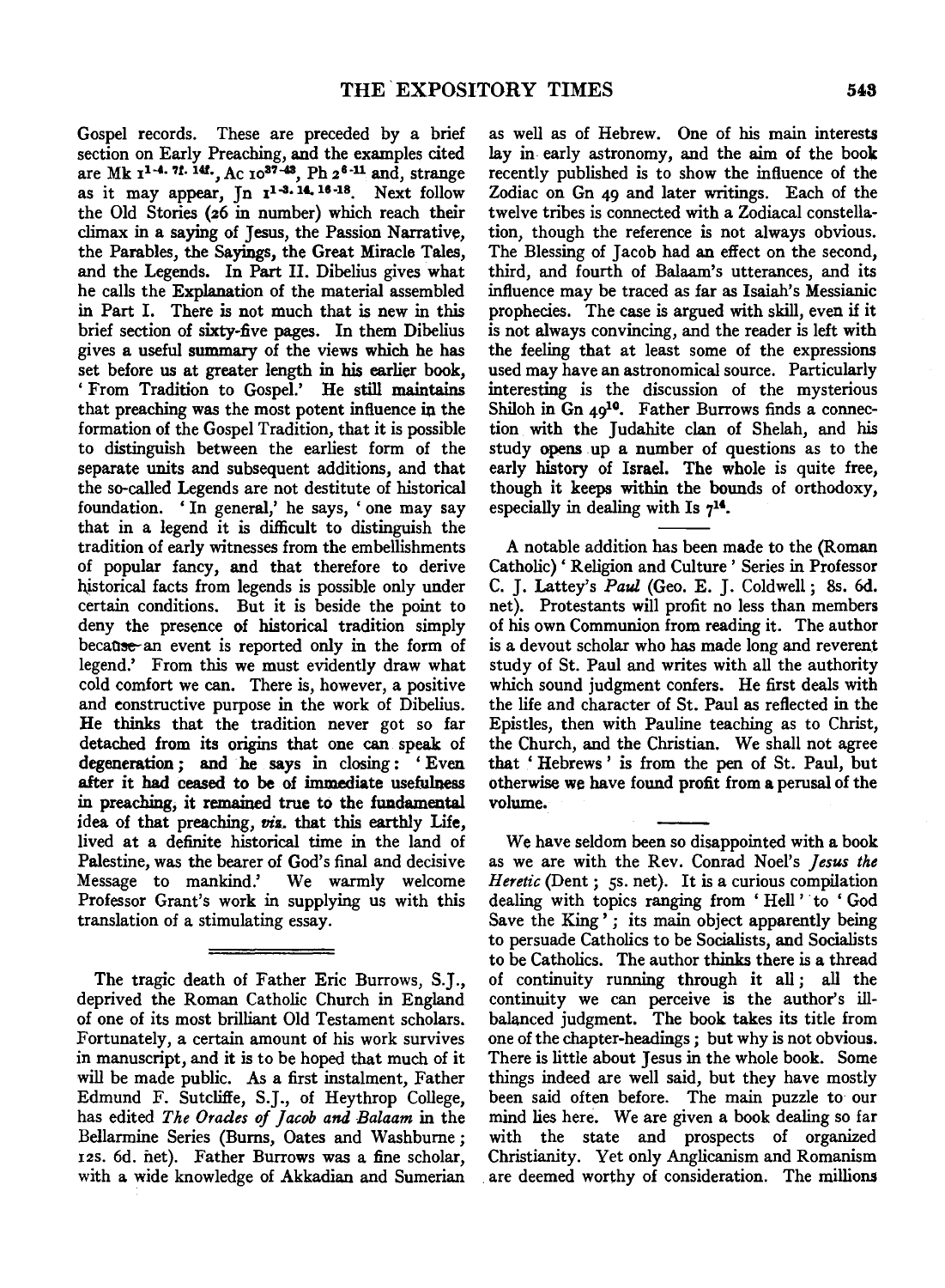Gospel records. These are preceded by a brief section on Early Preaching, and the examples cited and the examples effective of  $\frac{1}{4}$  and  $\frac{1}{4}$  and  $\frac{1}{4}$  and  $\frac{1}{4}$  and  $\frac{1}{4}$  strange as it may appear. In  $1^{1-3.14, 16-18}$ . Next follow the Old Stories (26 in number) which reach their climax in a saying of Jesus, the Passion Narrative, the Parables, the Sayings, the Great Miracle Tales, and the Legends. In Part II. Dibelius gives what he calls the Explanation of the material assembled in Part I. There is not much that is new in this brief section of sixty-five pages. In them Dibelius gives a useful summary of the views which he has set before us at greater length in his earlier book, ' From Tradition to Gospel.' He still maintains that preaching was the most potent influence in the formation of the Gospel Tradition, that it is possible to distinguish between the earliest form of the separate units and subsequent additions, and that the so-called Legends are not destitute of historical foundation. ' In general,' he says, ' one may say that in a legend it is difficult to distinguish the tradition of early witnesses from the embellishments of popular fancy, and that therefore to derive historical facts from legends is possible only under certain conditions. But it is beside the point to deny the presence of historical tradition simply because-an event is reported only in the form of legend.' From this we must evidently draw what cold comfort we can. There is, however, a positive and eonstructive purpose in the work of Dibelius. He thinks that the tradition never got so far detached from its origins that one can speak of degeneration ; and he says in closing : 'Even after it had ceased to be of immediate usefulness in preaching, it remained true to the fundamental idea of that preaching, *vis.* that this earthly Life, lived at a definite historical time in the land of Palestine, was the bearer of God's final and decisive Message to mankind.' We warmly welcome Professor Grant's work in supplying us with this translation of a stimulating essay.

The tragic death of Father Eric Burrows, S.J., deprived the Roman Catholic Church in England of one of its most brilliant Old Testament scholars. Fortunately, a certain amount of his work survives in manuscript, and it is to be hoped that much of it will be made public. As a first instalment, Father Edmund F. Sutcliffe, S.J., of Heythrop College, has edited *The Orades of ]acob and Balaam* in the Bellarmine Series (Burns, Oates and Washburne; 12s. 6d. net). Father Burrows was a fine scholar, with a wide knowledge of Akkadian and Sumerian

as well as of Hebrew. One of his main interests lay in early astronomy, and the aim of the book recently published is to show the influence of the Zodiac on Gn 49 and later writings. Each of the twelve tribes is connected with a Zodiacal constellation, though the reference is not always obvious. The Blessing of Jacob had an effect on the second, third, and fourth of Balaam's utterances, and its influence may be traced as far as Isaiah's Messianic prophecies. The case is argued with skill, even if it is not always convincing, and the reader is left with the feeling that at least some of the expressions used may have an astronomical source. Particularly interesting is the discussion of the mysterious Shiloh in Gn  $49^{10}$ . Father Burrows finds a connection with the Judahite clan of Shelah, and his study opens up a number of questions as to the early history of Israel. The whole is quite free, though it keeps within the bounds of orthodoxy, especially in dealing with Is  $7^{14}$ .

A notable addition has been made to the (Roman Catholic)' Religion and Culture' Series in Professor C. J. Lattey's *Paul* (Geo. E. J. Coldwell; Ss. 6d. net). Protestants will profit no less than members of his own Communion from reading it. The author is a devout scholar who has made long and reverent study of St. Paul and writes with all the authority which sound judgment confers. He first deals with the life and character of St. Paul as reflected in the Epistles, then with Pauline teaching as to Christ, the Church, and the Christian. We shall not agree that ' Hebrews ' is from the pen of St. Paul, but otherwise we have found profit from a perusal of the volume.

We have seldom been so disappointed with a book as we are with the Rev. Conrad Noel's *Jesus the Heretic* (Dent; 5s. net). It is a curious compilation dealing with topics ranging from 'Hell' to 'God Save the King'; its main object apparently being to persuade Catholics to be Socialists, and Socialists to be Catholics. The author thinks there is a thread of continuity running through it all; all the continuity we can perceive is the author's illbalanced judgment. The book takes its title from one of the chapter-headings ; but why is not obvious. There is little about Jesus in the whole book. Some things indeed are well said, but they have mostly been said often before. The main puzzle to our mind lies here. We are given a book dealing so far with the state and prospects of organized Christianity. Yet only Anglicanism and Romanism . are deemed worthy of consideration. The millions